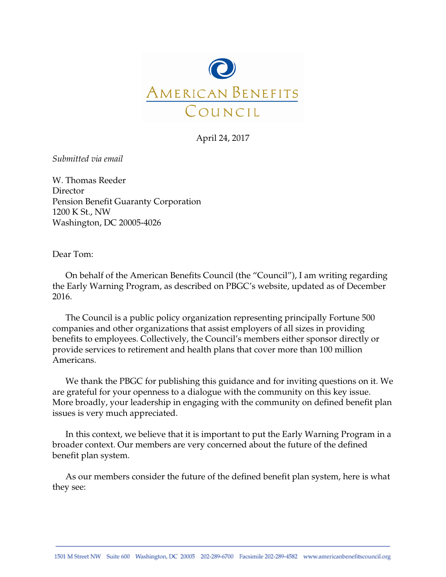

April 24, 2017

*Submitted via email*

W. Thomas Reeder Director Pension Benefit Guaranty Corporation 1200 K St., NW Washington, DC 20005-4026

Dear Tom:

On behalf of the American Benefits Council (the "Council"), I am writing regarding the Early Warning Program, as described on PBGC's website, updated as of December 2016.

The Council is a public policy organization representing principally Fortune 500 companies and other organizations that assist employers of all sizes in providing benefits to employees. Collectively, the Council's members either sponsor directly or provide services to retirement and health plans that cover more than 100 million Americans.

We thank the PBGC for publishing this guidance and for inviting questions on it. We are grateful for your openness to a dialogue with the community on this key issue. More broadly, your leadership in engaging with the community on defined benefit plan issues is very much appreciated.

In this context, we believe that it is important to put the Early Warning Program in a broader context. Our members are very concerned about the future of the defined benefit plan system.

As our members consider the future of the defined benefit plan system, here is what they see: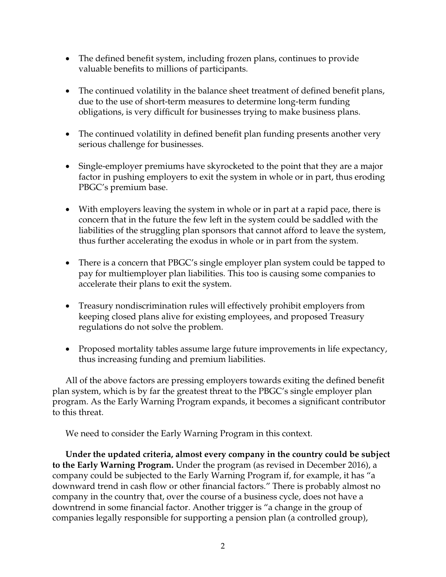- The defined benefit system, including frozen plans, continues to provide valuable benefits to millions of participants.
- The continued volatility in the balance sheet treatment of defined benefit plans, due to the use of short-term measures to determine long-term funding obligations, is very difficult for businesses trying to make business plans.
- The continued volatility in defined benefit plan funding presents another very serious challenge for businesses.
- Single-employer premiums have skyrocketed to the point that they are a major factor in pushing employers to exit the system in whole or in part, thus eroding PBGC's premium base.
- With employers leaving the system in whole or in part at a rapid pace, there is concern that in the future the few left in the system could be saddled with the liabilities of the struggling plan sponsors that cannot afford to leave the system, thus further accelerating the exodus in whole or in part from the system.
- There is a concern that PBGC's single employer plan system could be tapped to pay for multiemployer plan liabilities. This too is causing some companies to accelerate their plans to exit the system.
- Treasury nondiscrimination rules will effectively prohibit employers from keeping closed plans alive for existing employees, and proposed Treasury regulations do not solve the problem.
- Proposed mortality tables assume large future improvements in life expectancy, thus increasing funding and premium liabilities.

All of the above factors are pressing employers towards exiting the defined benefit plan system, which is by far the greatest threat to the PBGC's single employer plan program. As the Early Warning Program expands, it becomes a significant contributor to this threat.

We need to consider the Early Warning Program in this context.

**Under the updated criteria, almost every company in the country could be subject to the Early Warning Program.** Under the program (as revised in December 2016), a company could be subjected to the Early Warning Program if, for example, it has "a downward trend in cash flow or other financial factors." There is probably almost no company in the country that, over the course of a business cycle, does not have a downtrend in some financial factor. Another trigger is "a change in the group of companies legally responsible for supporting a pension plan (a controlled group),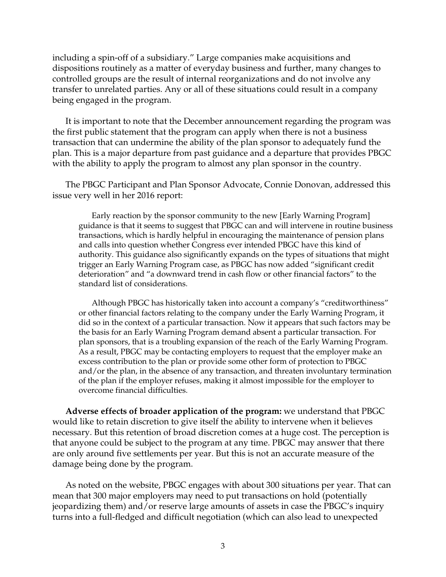including a spin-off of a subsidiary." Large companies make acquisitions and dispositions routinely as a matter of everyday business and further, many changes to controlled groups are the result of internal reorganizations and do not involve any transfer to unrelated parties. Any or all of these situations could result in a company being engaged in the program.

It is important to note that the December announcement regarding the program was the first public statement that the program can apply when there is not a business transaction that can undermine the ability of the plan sponsor to adequately fund the plan. This is a major departure from past guidance and a departure that provides PBGC with the ability to apply the program to almost any plan sponsor in the country.

The PBGC Participant and Plan Sponsor Advocate, Connie Donovan, addressed this issue very well in her 2016 report:

Early reaction by the sponsor community to the new [Early Warning Program] guidance is that it seems to suggest that PBGC can and will intervene in routine business transactions, which is hardly helpful in encouraging the maintenance of pension plans and calls into question whether Congress ever intended PBGC have this kind of authority. This guidance also significantly expands on the types of situations that might trigger an Early Warning Program case, as PBGC has now added "significant credit deterioration" and "a downward trend in cash flow or other financial factors" to the standard list of considerations.

Although PBGC has historically taken into account a company's "creditworthiness" or other financial factors relating to the company under the Early Warning Program, it did so in the context of a particular transaction. Now it appears that such factors may be the basis for an Early Warning Program demand absent a particular transaction. For plan sponsors, that is a troubling expansion of the reach of the Early Warning Program. As a result, PBGC may be contacting employers to request that the employer make an excess contribution to the plan or provide some other form of protection to PBGC and/or the plan, in the absence of any transaction, and threaten involuntary termination of the plan if the employer refuses, making it almost impossible for the employer to overcome financial difficulties.

**Adverse effects of broader application of the program:** we understand that PBGC would like to retain discretion to give itself the ability to intervene when it believes necessary. But this retention of broad discretion comes at a huge cost. The perception is that anyone could be subject to the program at any time. PBGC may answer that there are only around five settlements per year. But this is not an accurate measure of the damage being done by the program.

As noted on the website, PBGC engages with about 300 situations per year. That can mean that 300 major employers may need to put transactions on hold (potentially jeopardizing them) and/or reserve large amounts of assets in case the PBGC's inquiry turns into a full-fledged and difficult negotiation (which can also lead to unexpected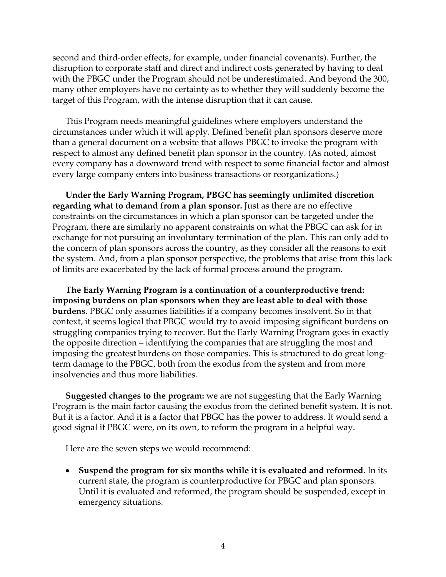second and third-order effects, for example, under financial covenants). Further, the disruption to corporate staff and direct and indirect costs generated by having to deal with the PBGC under the Program should not be underestimated. And beyond the 300, many other employers have no certainty as to whether they will suddenly become the target of this Program, with the intense disruption that it can cause.

This Program needs meaningful guidelines where employers understand the circumstances under which it will apply. Defined benefit plan sponsors deserve more than a general document on a website that allows PBGC to invoke the program with respect to almost any defined benefit plan sponsor in the country. (As noted, almost every company has a downward trend with respect to some financial factor and almost every large company enters into business transactions or reorganizations.)

**Under the Early Warning Program, PBGC has seemingly unlimited discretion regarding what to demand from a plan sponsor.** Just as there are no effective constraints on the circumstances in which a plan sponsor can be targeted under the Program, there are similarly no apparent constraints on what the PBGC can ask for in exchange for not pursuing an involuntary termination of the plan. This can only add to the concern of plan sponsors across the country, as they consider all the reasons to exit the system. And, from a plan sponsor perspective, the problems that arise from this lack of limits are exacerbated by the lack of formal process around the program.

**The Early Warning Program is a continuation of a counterproductive trend: imposing burdens on plan sponsors when they are least able to deal with those burdens.** PBGC only assumes liabilities if a company becomes insolvent. So in that context, it seems logical that PBGC would try to avoid imposing significant burdens on struggling companies trying to recover. But the Early Warning Program goes in exactly the opposite direction – identifying the companies that are struggling the most and imposing the greatest burdens on those companies. This is structured to do great longterm damage to the PBGC, both from the exodus from the system and from more insolvencies and thus more liabilities.

**Suggested changes to the program:** we are not suggesting that the Early Warning Program is the main factor causing the exodus from the defined benefit system. It is not. But it is a factor. And it is a factor that PBGC has the power to address. It would send a good signal if PBGC were, on its own, to reform the program in a helpful way.

Here are the seven steps we would recommend:

• **Suspend the program for six months while it is evaluated and reformed**. In its current state, the program is counterproductive for PBGC and plan sponsors. Until it is evaluated and reformed, the program should be suspended, except in emergency situations.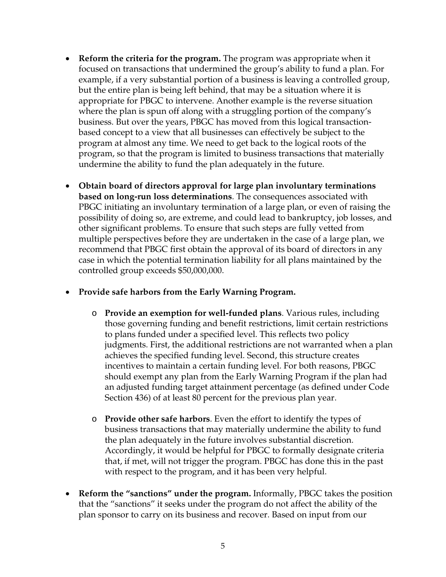- **Reform the criteria for the program.** The program was appropriate when it focused on transactions that undermined the group's ability to fund a plan. For example, if a very substantial portion of a business is leaving a controlled group, but the entire plan is being left behind, that may be a situation where it is appropriate for PBGC to intervene. Another example is the reverse situation where the plan is spun off along with a struggling portion of the company's business. But over the years, PBGC has moved from this logical transactionbased concept to a view that all businesses can effectively be subject to the program at almost any time. We need to get back to the logical roots of the program, so that the program is limited to business transactions that materially undermine the ability to fund the plan adequately in the future.
- **Obtain board of directors approval for large plan involuntary terminations based on long-run loss determinations**. The consequences associated with PBGC initiating an involuntary termination of a large plan, or even of raising the possibility of doing so, are extreme, and could lead to bankruptcy, job losses, and other significant problems. To ensure that such steps are fully vetted from multiple perspectives before they are undertaken in the case of a large plan, we recommend that PBGC first obtain the approval of its board of directors in any case in which the potential termination liability for all plans maintained by the controlled group exceeds \$50,000,000.
- **Provide safe harbors from the Early Warning Program.**
	- o **Provide an exemption for well-funded plans**. Various rules, including those governing funding and benefit restrictions, limit certain restrictions to plans funded under a specified level. This reflects two policy judgments. First, the additional restrictions are not warranted when a plan achieves the specified funding level. Second, this structure creates incentives to maintain a certain funding level. For both reasons, PBGC should exempt any plan from the Early Warning Program if the plan had an adjusted funding target attainment percentage (as defined under Code Section 436) of at least 80 percent for the previous plan year.
	- o **Provide other safe harbors**. Even the effort to identify the types of business transactions that may materially undermine the ability to fund the plan adequately in the future involves substantial discretion. Accordingly, it would be helpful for PBGC to formally designate criteria that, if met, will not trigger the program. PBGC has done this in the past with respect to the program, and it has been very helpful.
- **Reform the "sanctions" under the program.** Informally, PBGC takes the position that the "sanctions" it seeks under the program do not affect the ability of the plan sponsor to carry on its business and recover. Based on input from our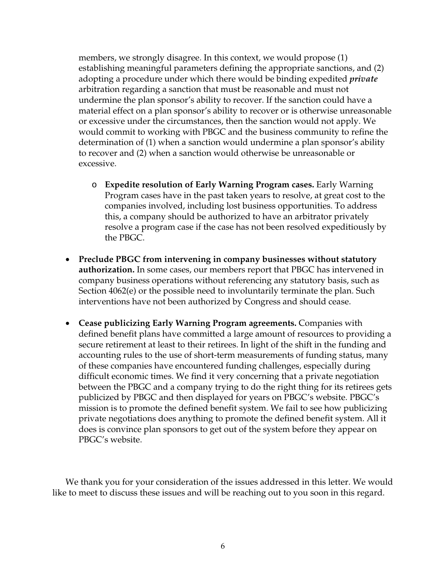members, we strongly disagree. In this context, we would propose (1) establishing meaningful parameters defining the appropriate sanctions, and (2) adopting a procedure under which there would be binding expedited *private*  arbitration regarding a sanction that must be reasonable and must not undermine the plan sponsor's ability to recover. If the sanction could have a material effect on a plan sponsor's ability to recover or is otherwise unreasonable or excessive under the circumstances, then the sanction would not apply. We would commit to working with PBGC and the business community to refine the determination of (1) when a sanction would undermine a plan sponsor's ability to recover and (2) when a sanction would otherwise be unreasonable or excessive.

- o **Expedite resolution of Early Warning Program cases.** Early Warning Program cases have in the past taken years to resolve, at great cost to the companies involved, including lost business opportunities. To address this, a company should be authorized to have an arbitrator privately resolve a program case if the case has not been resolved expeditiously by the PBGC.
- **Preclude PBGC from intervening in company businesses without statutory authorization.** In some cases, our members report that PBGC has intervened in company business operations without referencing any statutory basis, such as Section 4062(e) or the possible need to involuntarily terminate the plan. Such interventions have not been authorized by Congress and should cease.
- **Cease publicizing Early Warning Program agreements.** Companies with defined benefit plans have committed a large amount of resources to providing a secure retirement at least to their retirees. In light of the shift in the funding and accounting rules to the use of short-term measurements of funding status, many of these companies have encountered funding challenges, especially during difficult economic times. We find it very concerning that a private negotiation between the PBGC and a company trying to do the right thing for its retirees gets publicized by PBGC and then displayed for years on PBGC's website. PBGC's mission is to promote the defined benefit system. We fail to see how publicizing private negotiations does anything to promote the defined benefit system. All it does is convince plan sponsors to get out of the system before they appear on PBGC's website.

We thank you for your consideration of the issues addressed in this letter. We would like to meet to discuss these issues and will be reaching out to you soon in this regard.